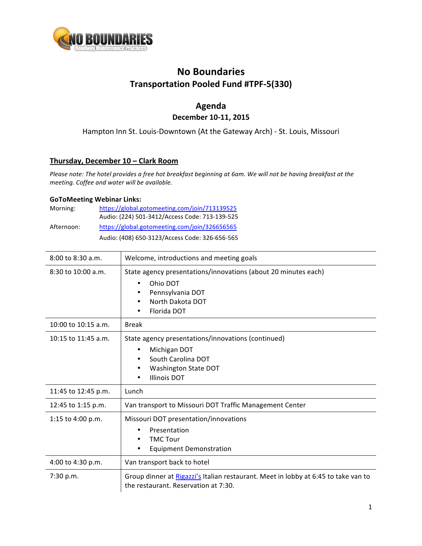

# **No Boundaries Transportation Pooled Fund #TPF-5(330)**

## **Agenda December 10-11, 2015**

Hampton Inn St. Louis-Downtown (At the Gateway Arch) - St. Louis, Missouri

### **Thursday, December 10 – Clark Room**

*Please note:* The hotel provides a free hot breakfast beginning at 6am. We will not be having breakfast at the *meeting. Coffee and water will be available.*

#### **GoToMeeting Webinar Links:**

| Morning:   | https://global.gotomeeting.com/join/713139525  |
|------------|------------------------------------------------|
|            | Audio: (224) 501-3412/Access Code: 713-139-525 |
| Afternoon: | https://global.gotomeeting.com/join/326656565  |
|            | Audio: (408) 650-3123/Access Code: 326-656-565 |

| $8:00$ to $8:30$ a.m.  | Welcome, introductions and meeting goals                                                                                                               |
|------------------------|--------------------------------------------------------------------------------------------------------------------------------------------------------|
| $8:30$ to $10:00$ a.m. | State agency presentations/innovations (about 20 minutes each)<br>Ohio DOT<br>٠<br>Pennsylvania DOT<br>٠<br>North Dakota DOT<br>Florida DOT            |
| 10:00 to $10:15$ a.m.  | <b>Break</b>                                                                                                                                           |
| 10:15 to 11:45 a.m.    | State agency presentations/innovations (continued)<br>Michigan DOT<br>٠<br>South Carolina DOT<br>Washington State DOT<br>٠<br><b>Illinois DOT</b><br>٠ |
| 11:45 to 12:45 p.m.    | Lunch                                                                                                                                                  |
| 12:45 to 1:15 p.m.     | Van transport to Missouri DOT Traffic Management Center                                                                                                |
| 1:15 to 4:00 p.m.      | Missouri DOT presentation/innovations<br>Presentation<br>٠<br><b>TMC Tour</b><br>٠<br><b>Equipment Demonstration</b>                                   |
| 4:00 to 4:30 p.m.      | Van transport back to hotel                                                                                                                            |
| 7:30 p.m.              | Group dinner at Rigazzi's Italian restaurant. Meet in lobby at 6:45 to take van to<br>the restaurant. Reservation at 7:30.                             |